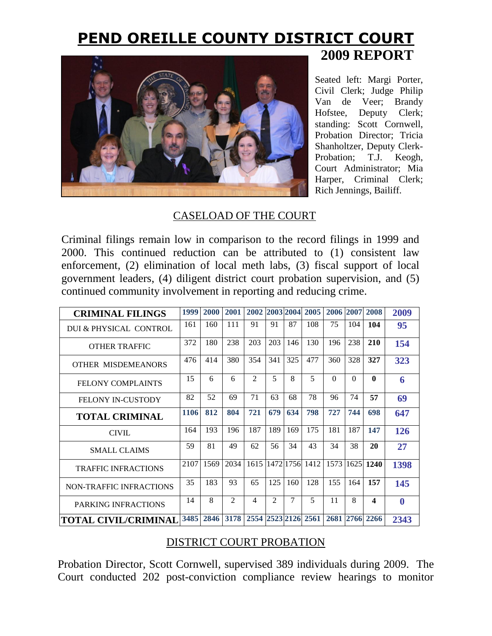## **PEND OREILLE COUNTY DISTRICT COURT 2009 REPORT**



Seated left: Margi Porter, Civil Clerk; Judge Philip Van de Veer; Brandy Hofstee, Deputy Clerk; standing: Scott Cornwell, Probation Director; Tricia Shanholtzer, Deputy Clerk-Probation; T.J. Keogh, Court Administrator; Mia Harper, Criminal Clerk; Rich Jennings, Bailiff.

## CASELOAD OF THE COURT

Criminal filings remain low in comparison to the record filings in 1999 and 2000. This continued reduction can be attributed to (1) consistent law enforcement, (2) elimination of local meth labs, (3) fiscal support of local government leaders, (4) diligent district court probation supervision, and (5) continued community involvement in reporting and reducing crime.

| <b>CRIMINAL FILINGS</b>     | 1999 | 2000 | 2001           |                |                |                | 2002 2003 2004 2005 | 2006 2007 |          | 2008         | 2009         |
|-----------------------------|------|------|----------------|----------------|----------------|----------------|---------------------|-----------|----------|--------------|--------------|
| DUI & PHYSICAL CONTROL      | 161  | 160  | 111            | 91             | 91             | 87             | 108                 | 75        | 104      | 104          | 95           |
| <b>OTHER TRAFFIC</b>        | 372  | 180  | 238            | 203            | 203            | 146            | 130                 | 196       | 238      | 210          | 154          |
| OTHER MISDEMEANORS          | 476  | 414  | 380            | 354            | 341            | 325            | 477                 | 360       | 328      | 327          | 323          |
| <b>FELONY COMPLAINTS</b>    | 15   | 6    | 6              | $\mathfrak{D}$ | 5              | 8              | 5                   | $\Omega$  | $\Omega$ | $\mathbf{0}$ | 6            |
| <b>FELONY IN-CUSTODY</b>    | 82   | 52   | 69             | 71             | 63             | 68             | 78                  | 96        | 74       | 57           | 69           |
| <b>TOTAL CRIMINAL</b>       | 1106 | 812  | 804            | 721            | 679            | 634            | 798                 | 727       | 744      | 698          | 647          |
| <b>CIVIL</b>                | 164  | 193  | 196            | 187            | 189            | 169            | 175                 | 181       | 187      | 147          | 126          |
| <b>SMALL CLAIMS</b>         | 59   | 81   | 49             | 62             | 56             | 34             | 43                  | 34        | 38       | 20           | 27           |
| <b>TRAFFIC INFRACTIONS</b>  | 2107 | 1569 | 2034           |                |                |                | 1615 1472 1756 1412 | 1573 1625 |          | 1240         | 1398         |
| NON-TRAFFIC INFRACTIONS     | 35   | 183  | 93             | 65             | 125            | 160            | 128                 | 155       | 164      | 157          | 145          |
| PARKING INFRACTIONS         | 14   | 8    | $\mathfrak{D}$ | $\overline{4}$ | $\mathfrak{D}$ | $\overline{7}$ | $\overline{5}$      | 11        | 8        | 4            | $\mathbf{0}$ |
| <b>TOTAL CIVIL/CRIMINAL</b> | 3485 | 2846 | 3178           |                |                |                | 2554 2523 2126 2561 | 2681 2766 |          | 2266         | 2343         |

## DISTRICT COURT PROBATION

Probation Director, Scott Cornwell, supervised 389 individuals during 2009. The Court conducted 202 post-conviction compliance review hearings to monitor